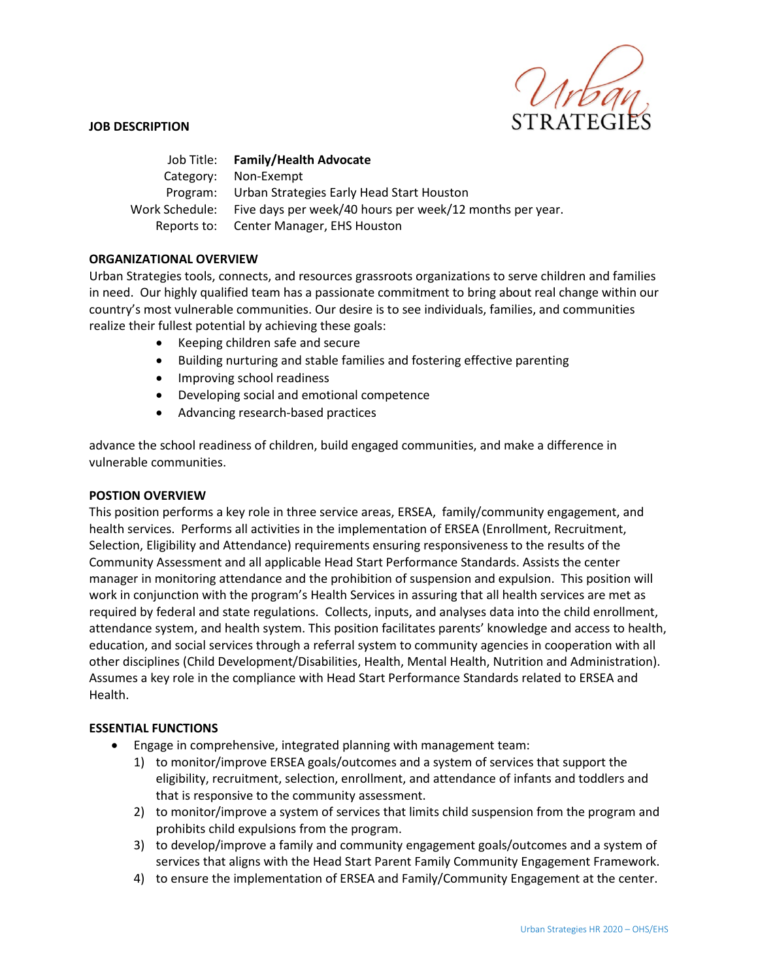

### **JOB DESCRIPTION**

|                  | Job Title: Family/Health Advocate                        |
|------------------|----------------------------------------------------------|
|                  | Category: Non-Exempt                                     |
|                  | Program: Urban Strategies Early Head Start Houston       |
| Work Schedule: . | Five days per week/40 hours per week/12 months per year. |
|                  | Reports to: Center Manager, EHS Houston                  |

### **ORGANIZATIONAL OVERVIEW**

Urban Strategies tools, connects, and resources grassroots organizations to serve children and families in need. Our highly qualified team has a passionate commitment to bring about real change within our country's most vulnerable communities. Our desire is to see individuals, families, and communities realize their fullest potential by achieving these goals:

- Keeping children safe and secure
- Building nurturing and stable families and fostering effective parenting
- Improving school readiness
- Developing social and emotional competence
- Advancing research-based practices

advance the school readiness of children, build engaged communities, and make a difference in vulnerable communities.

### **POSTION OVERVIEW**

This position performs a key role in three service areas, ERSEA, family/community engagement, and health services. Performs all activities in the implementation of ERSEA (Enrollment, Recruitment, Selection, Eligibility and Attendance) requirements ensuring responsiveness to the results of the Community Assessment and all applicable Head Start Performance Standards. Assists the center manager in monitoring attendance and the prohibition of suspension and expulsion. This position will work in conjunction with the program's Health Services in assuring that all health services are met as required by federal and state regulations. Collects, inputs, and analyses data into the child enrollment, attendance system, and health system. This position facilitates parents' knowledge and access to health, education, and social services through a referral system to community agencies in cooperation with all other disciplines (Child Development/Disabilities, Health, Mental Health, Nutrition and Administration). Assumes a key role in the compliance with Head Start Performance Standards related to ERSEA and Health.

### **ESSENTIAL FUNCTIONS**

- Engage in comprehensive, integrated planning with management team:
	- 1) to monitor/improve ERSEA goals/outcomes and a system of services that support the eligibility, recruitment, selection, enrollment, and attendance of infants and toddlers and that is responsive to the community assessment.
	- 2) to monitor/improve a system of services that limits child suspension from the program and prohibits child expulsions from the program.
	- 3) to develop/improve a family and community engagement goals/outcomes and a system of services that aligns with the Head Start Parent Family Community Engagement Framework.
	- 4) to ensure the implementation of ERSEA and Family/Community Engagement at the center.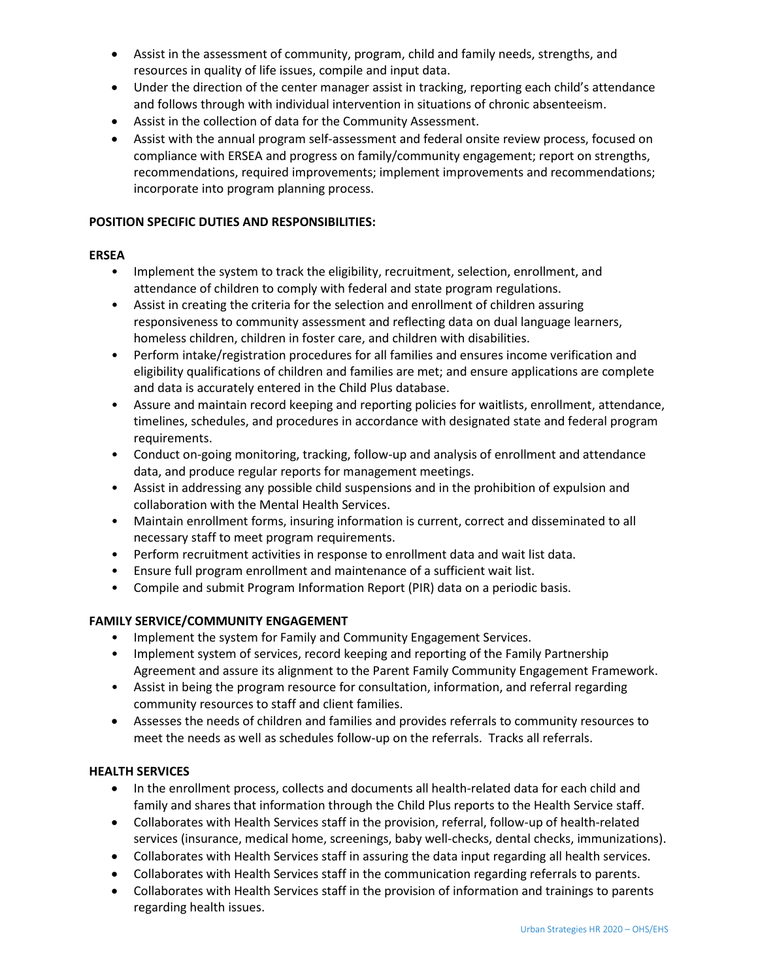- Assist in the assessment of community, program, child and family needs, strengths, and resources in quality of life issues, compile and input data.
- Under the direction of the center manager assist in tracking, reporting each child's attendance and follows through with individual intervention in situations of chronic absenteeism.
- Assist in the collection of data for the Community Assessment.
- Assist with the annual program self-assessment and federal onsite review process, focused on compliance with ERSEA and progress on family/community engagement; report on strengths, recommendations, required improvements; implement improvements and recommendations; incorporate into program planning process.

## **POSITION SPECIFIC DUTIES AND RESPONSIBILITIES:**

## **ERSEA**

- Implement the system to track the eligibility, recruitment, selection, enrollment, and attendance of children to comply with federal and state program regulations.
- Assist in creating the criteria for the selection and enrollment of children assuring responsiveness to community assessment and reflecting data on dual language learners, homeless children, children in foster care, and children with disabilities.
- Perform intake/registration procedures for all families and ensures income verification and eligibility qualifications of children and families are met; and ensure applications are complete and data is accurately entered in the Child Plus database.
- Assure and maintain record keeping and reporting policies for waitlists, enrollment, attendance, timelines, schedules, and procedures in accordance with designated state and federal program requirements.
- Conduct on-going monitoring, tracking, follow-up and analysis of enrollment and attendance data, and produce regular reports for management meetings.
- Assist in addressing any possible child suspensions and in the prohibition of expulsion and collaboration with the Mental Health Services.
- Maintain enrollment forms, insuring information is current, correct and disseminated to all necessary staff to meet program requirements.
- Perform recruitment activities in response to enrollment data and wait list data.
- Ensure full program enrollment and maintenance of a sufficient wait list.
- Compile and submit Program Information Report (PIR) data on a periodic basis.

# **FAMILY SERVICE/COMMUNITY ENGAGEMENT**

- Implement the system for Family and Community Engagement Services.
- Implement system of services, record keeping and reporting of the Family Partnership Agreement and assure its alignment to the Parent Family Community Engagement Framework.
- Assist in being the program resource for consultation, information, and referral regarding community resources to staff and client families.
- Assesses the needs of children and families and provides referrals to community resources to meet the needs as well as schedules follow-up on the referrals. Tracks all referrals.

## **HEALTH SERVICES**

- In the enrollment process, collects and documents all health-related data for each child and family and shares that information through the Child Plus reports to the Health Service staff.
- Collaborates with Health Services staff in the provision, referral, follow-up of health-related services (insurance, medical home, screenings, baby well-checks, dental checks, immunizations).
- Collaborates with Health Services staff in assuring the data input regarding all health services.
- Collaborates with Health Services staff in the communication regarding referrals to parents.
- Collaborates with Health Services staff in the provision of information and trainings to parents regarding health issues.